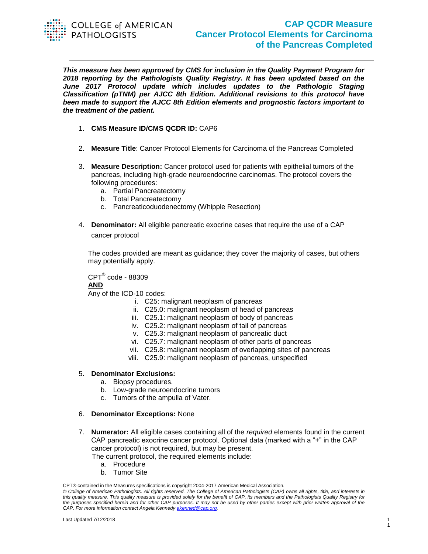

## **CAP QCDR Measure Cancer Protocol Elements for Carcinoma of the Pancreas Completed**

*This measure has been approved by CMS for inclusion in the Quality Payment Program for 2018 reporting by the Pathologists Quality Registry. It has been updated based on the June 2017 Protocol update which includes updates to the Pathologic Staging Classification (pTNM) per AJCC 8th Edition. Additional revisions to this protocol have been made to support the AJCC 8th Edition elements and prognostic factors important to the treatment of the patient.*

- 1. **CMS Measure ID/CMS QCDR ID:** CAP6
- 2. **Measure Title**: Cancer Protocol Elements for Carcinoma of the Pancreas Completed
- 3. **Measure Description:** Cancer protocol used for patients with epithelial tumors of the pancreas, including high-grade neuroendocrine carcinomas. The protocol covers the following procedures:
	- a. Partial Pancreatectomy
	- b. Total Pancreatectomy
	- c. Pancreaticoduodenectomy (Whipple Resection)
- 4. **Denominator:** All eligible pancreatic exocrine cases that require the use of a CAP cancer protocol

The codes provided are meant as guidance; they cover the majority of cases, but others may potentially apply.

 $\mathsf{CPT}^\circledast$  code - 88309 **AND**  Any of the ICD-10 codes:

- i. C25: malignant neoplasm of pancreas
- ii. C25.0: malignant neoplasm of head of pancreas
- iii. C25.1: malignant neoplasm of body of pancreas
- iv. C25.2: malignant neoplasm of tail of pancreas
- v. C25.3: malignant neoplasm of pancreatic duct
- vi. C25.7: malignant neoplasm of other parts of pancreas
- vii. C25.8: malignant neoplasm of overlapping sites of pancreas
- viii. C25.9: malignant neoplasm of pancreas, unspecified

## 5. **Denominator Exclusions:**

- a. Biopsy procedures.
- b. Low-grade neuroendocrine tumors
- c. Tumors of the ampulla of Vater.

## 6. **Denominator Exceptions:** None

- 7. **Numerator:** All eligible cases containing all of the *required* elements found in the current CAP pancreatic exocrine cancer protocol. Optional data (marked with a "+" in the CAP cancer protocol) is not required, but may be present. The current protocol, the required elements include:
	- a. Procedure
	- b. Tumor Site

CPT® contained in the Measures specifications is copyright 2004-2017 American Medical Association.

*<sup>©</sup> College of American Pathologists. All rights reserved. The College of American Pathologists (CAP) owns all rights, title, and interests in this quality measure. This quality measure is provided solely for the benefit of CAP, its members and the Pathologists Quality Registry for the purposes specified herein and for other CAP purposes. It may not be used by other parties except with prior written approval of the CAP. For more information contact Angela Kennedy [akenned@cap.org.](mailto:akenned@cap.org)*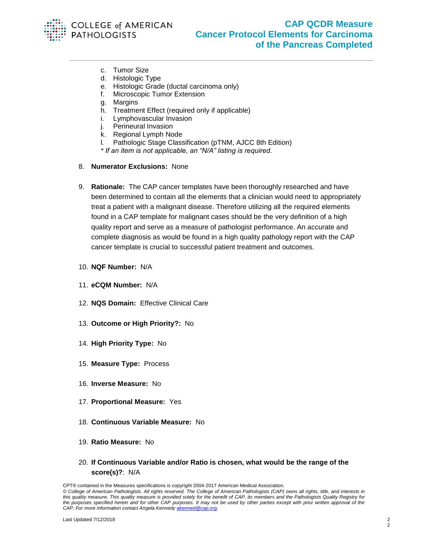

- c. Tumor Size
- d. Histologic Type
- e. Histologic Grade (ductal carcinoma only)
- f. Microscopic Tumor Extension
- g. Margins
- h. Treatment Effect (required only if applicable)
- i. Lymphovascular Invasion
- j. Perineural Invasion
- k. Regional Lymph Node
- l. Pathologic Stage Classification (pTNM, AJCC 8th Edition)
- *\* If an item is not applicable, an "N/A" listing is required.*
- 8. **Numerator Exclusions:** None
- 9. **Rationale:** The CAP cancer templates have been thoroughly researched and have been determined to contain all the elements that a clinician would need to appropriately treat a patient with a malignant disease. Therefore utilizing all the required elements found in a CAP template for malignant cases should be the very definition of a high quality report and serve as a measure of pathologist performance. An accurate and complete diagnosis as would be found in a high quality pathology report with the CAP cancer template is crucial to successful patient treatment and outcomes.
- 10. **NQF Number:** N/A
- 11. **eCQM Number:** N/A
- 12. **NQS Domain:** Effective Clinical Care
- 13. **Outcome or High Priority?:** No
- 14. **High Priority Type:** No
- 15. **Measure Type:** Process
- 16. **Inverse Measure:** No
- 17. **Proportional Measure:** Yes
- 18. **Continuous Variable Measure:** No
- 19. **Ratio Measure:** No
- 20. **If Continuous Variable and/or Ratio is chosen, what would be the range of the score(s)?**: N/A

CPT® contained in the Measures specifications is copyright 2004-2017 American Medical Association.

*<sup>©</sup> College of American Pathologists. All rights reserved. The College of American Pathologists (CAP) owns all rights, title, and interests in this quality measure. This quality measure is provided solely for the benefit of CAP, its members and the Pathologists Quality Registry for the purposes specified herein and for other CAP purposes. It may not be used by other parties except with prior written approval of the CAP. For more information contact Angela Kennedy [akenned@cap.org.](mailto:akenned@cap.org)*